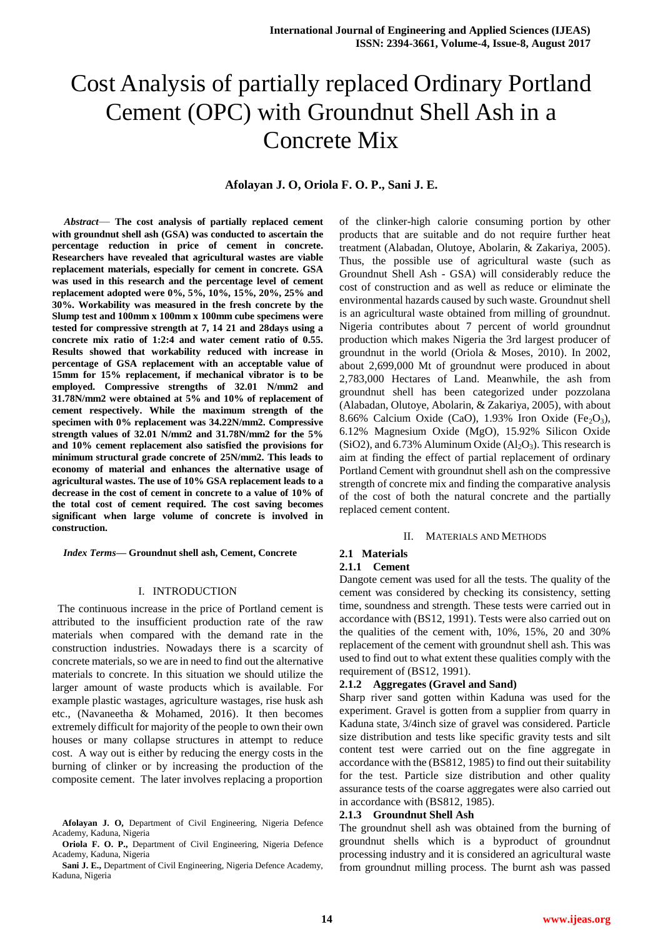# Cost Analysis of partially replaced Ordinary Portland Cement (OPC) with Groundnut Shell Ash in a Concrete Mix

# **Afolayan J. O, Oriola F. O. P., Sani J. E.**

*Abstract*— **The cost analysis of partially replaced cement with groundnut shell ash (GSA) was conducted to ascertain the percentage reduction in price of cement in concrete. Researchers have revealed that agricultural wastes are viable replacement materials, especially for cement in concrete. GSA was used in this research and the percentage level of cement replacement adopted were 0%, 5%, 10%, 15%, 20%, 25% and 30%. Workability was measured in the fresh concrete by the Slump test and 100mm x 100mm x 100mm cube specimens were tested for compressive strength at 7, 14 21 and 28days using a concrete mix ratio of 1:2:4 and water cement ratio of 0.55. Results showed that workability reduced with increase in percentage of GSA replacement with an acceptable value of 15mm for 15% replacement, if mechanical vibrator is to be employed. Compressive strengths of 32.01 N/mm2 and 31.78N/mm2 were obtained at 5% and 10% of replacement of cement respectively. While the maximum strength of the specimen with 0% replacement was 34.22N/mm2. Compressive strength values of 32.01 N/mm2 and 31.78N/mm2 for the 5% and 10% cement replacement also satisfied the provisions for minimum structural grade concrete of 25N/mm2. This leads to economy of material and enhances the alternative usage of agricultural wastes. The use of 10% GSA replacement leads to a decrease in the cost of cement in concrete to a value of 10% of the total cost of cement required. The cost saving becomes significant when large volume of concrete is involved in construction.**

*Index Terms***— Groundnut shell ash, Cement, Concrete**

## I. INTRODUCTION

 The continuous increase in the price of Portland cement is attributed to the insufficient production rate of the raw materials when compared with the demand rate in the construction industries. Nowadays there is a scarcity of concrete materials, so we are in need to find out the alternative materials to concrete. In this situation we should utilize the larger amount of waste products which is available. For example plastic wastages, agriculture wastages, rise husk ash etc., (Navaneetha & Mohamed, 2016). It then becomes extremely difficult for majority of the people to own their own houses or many collapse structures in attempt to reduce cost. A way out is either by reducing the energy costs in the burning of clinker or by increasing the production of the composite cement. The later involves replacing a proportion of the clinker-high calorie consuming portion by other products that are suitable and do not require further heat treatment (Alabadan, Olutoye, Abolarin, & Zakariya, 2005). Thus, the possible use of agricultural waste (such as Groundnut Shell Ash - GSA) will considerably reduce the cost of construction and as well as reduce or eliminate the environmental hazards caused by such waste. Groundnut shell is an agricultural waste obtained from milling of groundnut. Nigeria contributes about 7 percent of world groundnut production which makes Nigeria the 3rd largest producer of groundnut in the world (Oriola & Moses, 2010). In 2002, about 2,699,000 Mt of groundnut were produced in about 2,783,000 Hectares of Land. Meanwhile, the ash from groundnut shell has been categorized under pozzolana (Alabadan, Olutoye, Abolarin, & Zakariya, 2005), with about 8.66% Calcium Oxide (CaO), 1.93% Iron Oxide (Fe<sub>2</sub>O<sub>3</sub>), 6.12% Magnesium Oxide (MgO), 15.92% Silicon Oxide (SiO2), and 6.73% Aluminum Oxide  $(Al<sub>2</sub>O<sub>3</sub>)$ . This research is aim at finding the effect of partial replacement of ordinary Portland Cement with groundnut shell ash on the compressive strength of concrete mix and finding the comparative analysis of the cost of both the natural concrete and the partially replaced cement content.

#### II. MATERIALS AND METHODS

# **2.1 Materials**

#### **2.1.1 Cement**

Dangote cement was used for all the tests. The quality of the cement was considered by checking its consistency, setting time, soundness and strength. These tests were carried out in accordance with (BS12, 1991). Tests were also carried out on the qualities of the cement with, 10%, 15%, 20 and 30% replacement of the cement with groundnut shell ash. This was used to find out to what extent these qualities comply with the requirement of (BS12, 1991).

#### **2.1.2 Aggregates (Gravel and Sand)**

Sharp river sand gotten within Kaduna was used for the experiment. Gravel is gotten from a supplier from quarry in Kaduna state, 3/4inch size of gravel was considered. Particle size distribution and tests like specific gravity tests and silt content test were carried out on the fine aggregate in accordance with the (BS812, 1985) to find out their suitability for the test. Particle size distribution and other quality assurance tests of the coarse aggregates were also carried out in accordance with (BS812, 1985).

#### **2.1.3 Groundnut Shell Ash**

The groundnut shell ash was obtained from the burning of groundnut shells which is a byproduct of groundnut processing industry and it is considered an agricultural waste from groundnut milling process. The burnt ash was passed

**Afolayan J. O,** Department of Civil Engineering, Nigeria Defence Academy, Kaduna, Nigeria

**Oriola F. O. P.,** Department of Civil Engineering, Nigeria Defence Academy, Kaduna, Nigeria

**Sani J. E.,** Department of Civil Engineering, Nigeria Defence Academy, Kaduna, Nigeria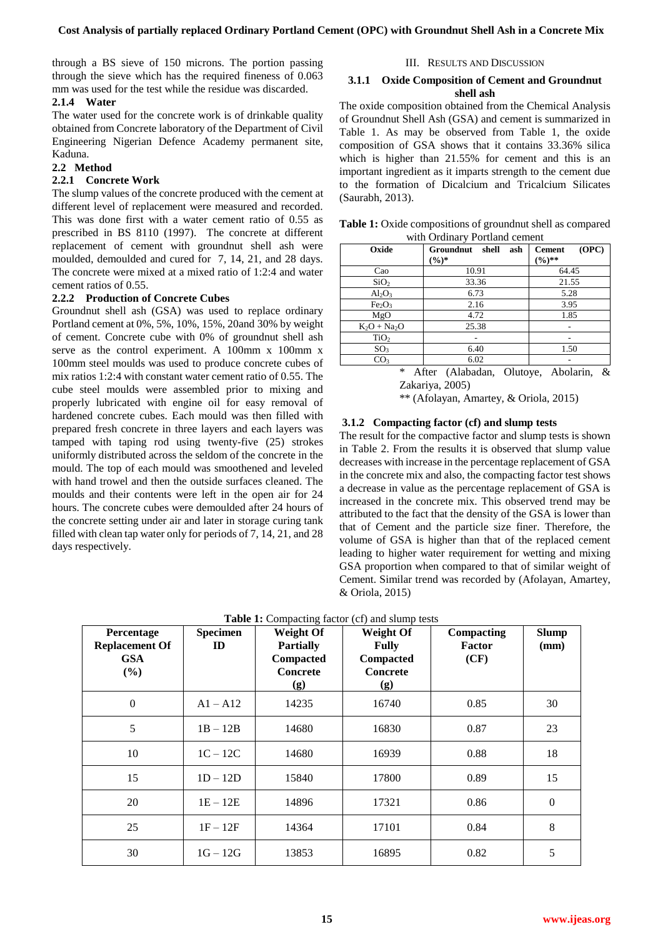through a BS sieve of 150 microns. The portion passing through the sieve which has the required fineness of 0.063 mm was used for the test while the residue was discarded.

# **2.1.4 Water**

The water used for the concrete work is of drinkable quality obtained from Concrete laboratory of the Department of Civil Engineering Nigerian Defence Academy permanent site, Kaduna.

# **2.2 Method**

# **2.2.1 Concrete Work**

The slump values of the concrete produced with the cement at different level of replacement were measured and recorded. This was done first with a water cement ratio of 0.55 as prescribed in BS 8110 (1997). The concrete at different replacement of cement with groundnut shell ash were moulded, demoulded and cured for 7, 14, 21, and 28 days. The concrete were mixed at a mixed ratio of 1:2:4 and water cement ratios of 0.55.

# **2.2.2 Production of Concrete Cubes**

Groundnut shell ash (GSA) was used to replace ordinary Portland cement at 0%, 5%, 10%, 15%, 20and 30% by weight of cement. Concrete cube with 0% of groundnut shell ash serve as the control experiment. A 100mm x 100mm x 100mm steel moulds was used to produce concrete cubes of mix ratios 1:2:4 with constant water cement ratio of 0.55. The cube steel moulds were assembled prior to mixing and properly lubricated with engine oil for easy removal of hardened concrete cubes. Each mould was then filled with prepared fresh concrete in three layers and each layers was tamped with taping rod using twenty-five (25) strokes uniformly distributed across the seldom of the concrete in the mould. The top of each mould was smoothened and leveled with hand trowel and then the outside surfaces cleaned. The moulds and their contents were left in the open air for 24 hours. The concrete cubes were demoulded after 24 hours of the concrete setting under air and later in storage curing tank filled with clean tap water only for periods of 7, 14, 21, and 28 days respectively.

# III. RESULTS AND DISCUSSION

### **3.1.1 Oxide Composition of Cement and Groundnut shell ash**

The oxide composition obtained from the Chemical Analysis of Groundnut Shell Ash (GSA) and cement is summarized in Table 1. As may be observed from Table 1, the oxide composition of GSA shows that it contains 33.36% silica which is higher than 21.55% for cement and this is an important ingredient as it imparts strength to the cement due to the formation of Dicalcium and Tricalcium Silicates (Saurabh, 2013).

| <b>Table 1:</b> Oxide compositions of ground nut shell as compared |
|--------------------------------------------------------------------|
| with Ordinary Portland cement                                      |

| Oxide                          | Groundnut<br>shell<br>ash<br>$(9/0)*$ | (OPC)<br><b>Cement</b><br>$(\%)^{**}$       |  |  |
|--------------------------------|---------------------------------------|---------------------------------------------|--|--|
| Cao                            | 10.91                                 | 64.45                                       |  |  |
| SiO <sub>2</sub>               | 33.36                                 | 21.55                                       |  |  |
| $Al_2O_3$                      | 6.73                                  | 5.28                                        |  |  |
| Fe <sub>2</sub> O <sub>3</sub> | 2.16                                  | 3.95                                        |  |  |
| MgO                            | 4.72                                  | 1.85                                        |  |  |
| $K_2O + Na_2O$                 | 25.38                                 |                                             |  |  |
| TiO <sub>2</sub>               |                                       |                                             |  |  |
| SO <sub>3</sub>                | 6.40                                  | 1.50                                        |  |  |
| CO <sub>3</sub>                | 6.02                                  | ۰                                           |  |  |
| $\ast$                         | $A$ ftor<br>$\Omega1$<br>(Alaboda     | $\mathbf{Q}_{\tau}$<br>A <sub>holorin</sub> |  |  |

After (Alabadan, Olutoye, Abolarin, & Zakariya, 2005)

\*\* (Afolayan, Amartey, & Oriola, 2015)

# **3.1.2 Compacting factor (cf) and slump tests**

The result for the compactive factor and slump tests is shown in Table 2. From the results it is observed that slump value decreases with increase in the percentage replacement of GSA in the concrete mix and also, the compacting factor test shows a decrease in value as the percentage replacement of GSA is increased in the concrete mix. This observed trend may be attributed to the fact that the density of the GSA is lower than that of Cement and the particle size finer. Therefore, the volume of GSA is higher than that of the replaced cement leading to higher water requirement for wetting and mixing GSA proportion when compared to that of similar weight of Cement. Similar trend was recorded by (Afolayan, Amartey, & Oriola, 2015)

| Percentage<br><b>Replacement Of</b><br><b>GSA</b><br>(%) | <b>Specimen</b><br>ID | <b>Weight Of</b><br><b>Partially</b><br><b>Compacted</b><br>Concrete<br>(g) | <b>Weight Of</b><br><b>Fully</b><br><b>Compacted</b><br><b>Concrete</b><br>(g) | Compacting<br>Factor<br>(CF) | <b>Slump</b><br>(mm) |
|----------------------------------------------------------|-----------------------|-----------------------------------------------------------------------------|--------------------------------------------------------------------------------|------------------------------|----------------------|
| $\Omega$                                                 | $A1 - A12$            | 14235                                                                       | 16740                                                                          | 0.85                         | 30                   |
| 5                                                        | $1B - 12B$            | 14680                                                                       | 16830                                                                          | 0.87                         | 23                   |
| 10                                                       | $1C - 12C$            | 14680                                                                       | 16939                                                                          | 0.88                         | 18                   |
| 15                                                       | $1D - 12D$            | 15840                                                                       | 17800                                                                          | 0.89                         | 15                   |
| 20                                                       | $1E - 12E$            | 14896                                                                       | 17321                                                                          | 0.86                         | $\overline{0}$       |
| 25                                                       | $1F-12F$              | 14364                                                                       | 17101                                                                          | 0.84                         | 8                    |
| 30                                                       | $1G - 12G$            | 13853                                                                       | 16895                                                                          | 0.82                         | 5                    |

**Table 1:** Compacting factor (cf) and slump tests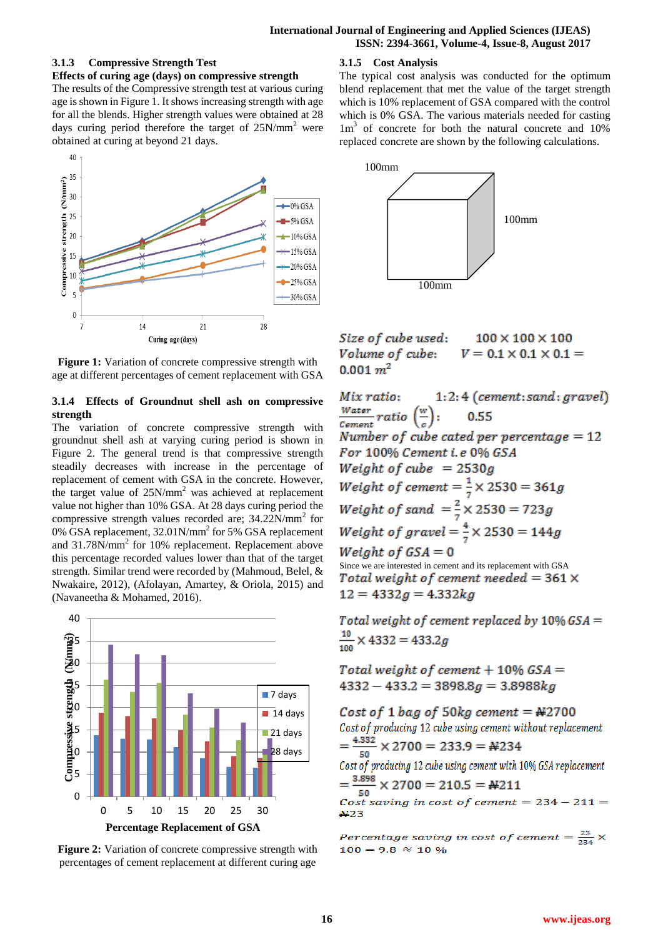# **3.1.3 Compressive Strength Test**

**Effects of curing age (days) on compressive strength** 

The results of the Compressive strength test at various curing age is shown in Figure 1. It shows increasing strength with age for all the blends. Higher strength values were obtained at 28 days curing period therefore the target of 25N/mm<sup>2</sup> were obtained at curing at beyond 21 days.



Figure 1: Variation of concrete compressive strength with age at different percentages of cement replacement with GSA

# **3.1.4 Effects of Groundnut shell ash on compressive strength**

The variation of concrete compressive strength with groundnut shell ash at varying curing period is shown in Figure 2. The general trend is that compressive strength steadily decreases with increase in the percentage of replacement of cement with GSA in the concrete. However, the target value of 25N/mm<sup>2</sup> was achieved at replacement value not higher than 10% GSA. At 28 days curing period the compressive strength values recorded are; 34.22N/mm<sup>2</sup> for 0% GSA replacement, 32.01N/mm<sup>2</sup> for 5% GSA replacement and 31.78N/mm<sup>2</sup> for 10% replacement. Replacement above this percentage recorded values lower than that of the target strength. Similar trend were recorded by (Mahmoud, Belel, & Nwakaire, 2012), (Afolayan, Amartey, & Oriola, 2015) and (Navaneetha & Mohamed, 2016).



**Figure 2:** Variation of concrete compressive strength with percentages of cement replacement at different curing age

# **3.1.5 Cost Analysis**

The typical cost analysis was conducted for the optimum blend replacement that met the value of the target strength which is 10% replacement of GSA compared with the control which is 0% GSA. The various materials needed for casting 1m<sup>3</sup> of concrete for both the natural concrete and 10% replaced concrete are shown by the following calculations.



Size of cube used:  $100 \times 100 \times 100$ Volume of cube:  $V = 0.1 \times 0.1 \times 0.1 =$  $0.001~m^2$ 

Mix ratio:  $1:2:4$  (cement: sand: gravel)  $\frac{Water}{Cement} ratio \left(\frac{w}{c}\right):$ 0.55 Number of cube cated per percentage  $= 12$ For 100% Cement i.e 0% GSA Weight of cube =  $2530g$ *Weight of cement* =  $\frac{1}{7}$   $\times$  2530 = 361g Weight of sand  $=\frac{2}{7} \times 2530 = 723g$ *Weight of gravel* =  $\frac{4}{5} \times 2530 = 144g$ Weight of  $GSA = 0$ Since we are interested in cement and its replacement with GSA Total weight of cement needed =  $361 \times$  $12 = 4332g = 4.332kg$ 

Total weight of cement replaced by  $10\%$  GSA =  $\frac{10}{100}$  × 4332 = 433.2g

Total weight of cement  $+$  10% GSA =  $4332 - 433.2 = 3898.8g = 3.8988kg$ 

Cost of 1 bag of 50kg cement =  $#2700$ Cost of producing 12 cube using cement without replacement  $=\frac{4.332}{50} \times 2700 = 233.9 = \text{\textsterling}234$ Cost of producing 12 cube using cement with 10% GSA replacement  $=\frac{3.898}{50} \times 2700 = 210.5 = \text{\textsterling}211$ Cost saving in cost of cement =  $234 - 211 =$  $#23$ 

Percentage saving in cost of cement =  $\frac{23}{234}$   $\times$  $100 = 9.8 \approx 10 \%$